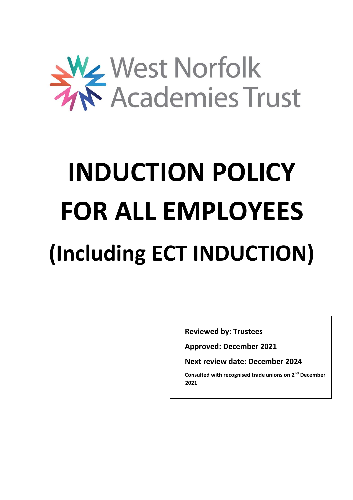

# **INDUCTION POLICY FOR ALL EMPLOYEES (Including ECT INDUCTION)**

**Reviewed by: Trustees**

**Approved: December 2021**

**Next review date: December 2024**

**Consulted with recognised trade unions on 2 nd December 2021**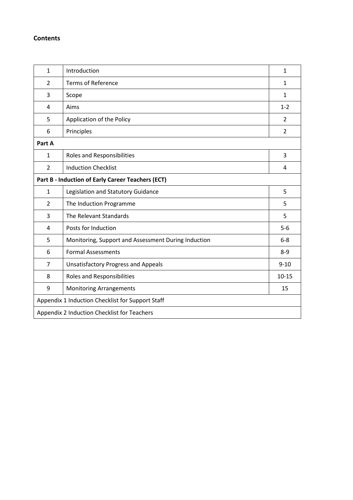# **Contents**

| $\mathbf{1}$                                     | Introduction                                        | $\mathbf{1}$   |  |
|--------------------------------------------------|-----------------------------------------------------|----------------|--|
| $\overline{2}$                                   | <b>Terms of Reference</b>                           | $\mathbf{1}$   |  |
| 3                                                | Scope                                               | $\mathbf{1}$   |  |
| $\overline{4}$                                   | Aims                                                | $1 - 2$        |  |
| 5                                                | Application of the Policy                           | $\overline{2}$ |  |
| 6                                                | Principles                                          | $\overline{2}$ |  |
| Part A                                           |                                                     |                |  |
| 1                                                | <b>Roles and Responsibilities</b>                   | 3              |  |
| $\overline{2}$                                   | <b>Induction Checklist</b>                          | 4              |  |
|                                                  | Part B - Induction of Early Career Teachers (ECT)   |                |  |
| $\mathbf{1}$                                     | Legislation and Statutory Guidance                  | 5              |  |
| $\overline{2}$                                   | The Induction Programme                             | 5              |  |
| 3                                                | The Relevant Standards                              | 5              |  |
| 4                                                | Posts for Induction                                 | $5-6$          |  |
| 5                                                | Monitoring, Support and Assessment During Induction | $6-8$          |  |
| 6                                                | <b>Formal Assessments</b>                           | $8 - 9$        |  |
| $\overline{7}$                                   | <b>Unsatisfactory Progress and Appeals</b>          | $9 - 10$       |  |
| 8                                                | <b>Roles and Responsibilities</b>                   | $10 - 15$      |  |
| 9                                                | <b>Monitoring Arrangements</b>                      | 15             |  |
| Appendix 1 Induction Checklist for Support Staff |                                                     |                |  |
| Appendix 2 Induction Checklist for Teachers      |                                                     |                |  |
|                                                  |                                                     |                |  |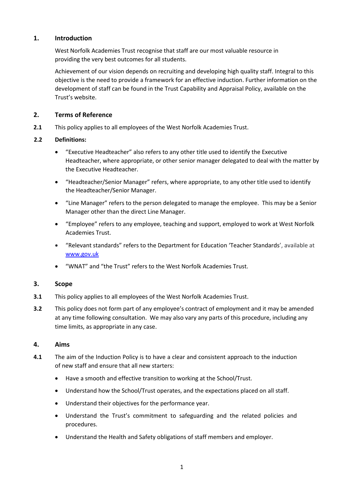#### **1. Introduction**

West Norfolk Academies Trust recognise that staff are our most valuable resource in providing the very best outcomes for all students.

Achievement of our vision depends on recruiting and developing high quality staff. Integral to this objective is the need to provide a framework for an effective induction. Further information on the development of staff can be found in the Trust Capability and Appraisal Policy, available on the Trust's website.

#### **2. Terms of Reference**

**2.1** This policy applies to all employees of the West Norfolk Academies Trust.

#### **2.2 Definitions:**

- "Executive Headteacher" also refers to any other title used to identify the Executive Headteacher, where appropriate, or other senior manager delegated to deal with the matter by the Executive Headteacher.
- "Headteacher/Senior Manager" refers, where appropriate, to any other title used to identify the Headteacher/Senior Manager.
- "Line Manager" refers to the person delegated to manage the employee. This may be a Senior Manager other than the direct Line Manager.
- "Employee" refers to any employee, teaching and support, employed to work at West Norfolk Academies Trust.
- "Relevant standards" refers to the Department for Education 'Teacher Standards', available at [www.gov.uk](https://www.gov.uk/government/publications/teachers-standards)
- "WNAT" and "the Trust" refers to the West Norfolk Academies Trust.

#### **3. Scope**

- **3.1** This policy applies to all employees of the West Norfolk Academies Trust.
- **3.2** This policy does not form part of any employee's contract of employment and it may be amended at any time following consultation. We may also vary any parts of this procedure, including any time limits, as appropriate in any case.

#### **4. Aims**

- **4.1** The aim of the Induction Policy is to have a clear and consistent approach to the induction of new staff and ensure that all new starters:
	- Have a smooth and effective transition to working at the School/Trust.
	- Understand how the School/Trust operates, and the expectations placed on all staff.
	- Understand their objectives for the performance year.
	- Understand the Trust's commitment to safeguarding and the related policies and procedures.
	- Understand the Health and Safety obligations of staff members and employer.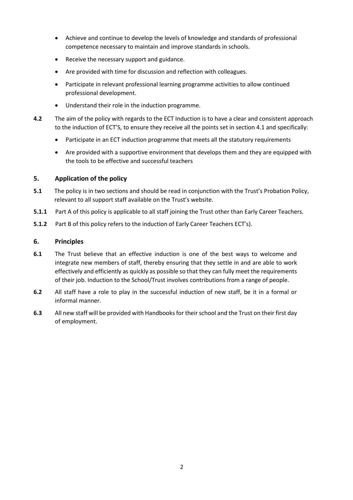- Achieve and continue to develop the levels of knowledge and standards of professional competence necessary to maintain and improve standards in schools.
- Receive the necessary support and guidance.
- Are provided with time for discussion and reflection with colleagues.
- Participate in relevant professional learning programme activities to allow continued professional development.
- Understand their role in the induction programme.
- **4.2** The aim of the policy with regards to the ECT Induction is to have a clear and consistent approach to the induction of ECT'S, to ensure they receive all the points set in section 4.1 and specifically:
	- Participate in an ECT induction programme that meets all the statutory requirements
	- Are provided with a supportive environment that develops them and they are equipped with the tools to be effective and successful teachers

#### **5. Application of the policy**

- **5.1** The policy is in two sections and should be read in conjunction with the Trust's Probation Policy, relevant to all support staff available on the Trust's website.
- **5.1.1** Part A of this policy is applicable to all staff joining the Trust other than Early Career Teachers.
- **5.1.2** Part B of this policy refers to the induction of Early Career Teachers ECT's).

#### **6. Principles**

- **6.1** The Trust believe that an effective induction is one of the best ways to welcome and integrate new members of staff, thereby ensuring that they settle in and are able to work effectively and efficiently as quickly as possible so that they can fully meet the requirements of their job. Induction to the School/Trust involves contributions from a range of people.
- **6.2** All staff have a role to play in the successful induction of new staff, be it in a formal or informal manner.
- **6.3** All new staff will be provided with Handbooks for their school and the Trust on their first day of employment.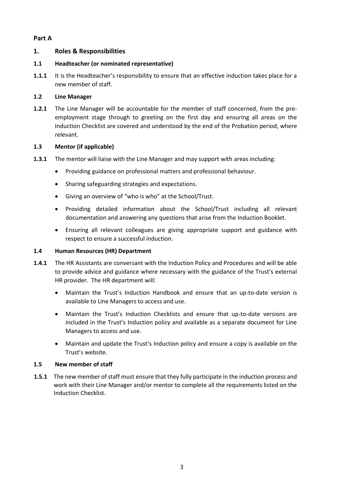### **Part A**

### **1. Roles & Responsibilities**

#### **1.1 Headteacher (or nominated representative)**

**1.1.1** It is the Headteacher's responsibility to ensure that an effective induction takes place for a new member of staff.

#### **1.2 Line Manager**

**1.2.1** The Line Manager will be accountable for the member of staff concerned, from the preemployment stage through to greeting on the first day and ensuring all areas on the Induction Checklist are covered and understood by the end of the Probation period, where relevant.

#### **1.3 Mentor (if applicable)**

- **1.3.1** The mentor will liaise with the Line Manager and may support with areas including:
	- Providing guidance on professional matters and professional behaviour.
	- Sharing safeguarding strategies and expectations.
	- Giving an overview of "who is who" at the School/Trust.
	- Providing detailed information about the School/Trust including all relevant documentation and answering any questions that arise from the Induction Booklet.
	- Ensuring all relevant colleagues are giving appropriate support and guidance with respect to ensure a successful induction.

#### **1.4 Human Resources (HR) Department**

- **1.4.1** The HR Assistants are conversant with the Induction Policy and Procedures and will be able to provide advice and guidance where necessary with the guidance of the Trust's external HR provider. The HR department will:
	- Maintain the Trust's Induction Handbook and ensure that an up-to-date version is available to Line Managers to access and use.
	- Maintain the Trust's Induction Checklists and ensure that up-to-date versions are included in the Trust's Induction policy and available as a separate document for Line Managers to access and use.
	- Maintain and update the Trust's Induction policy and ensure a copy is available on the Trust's website.

#### **1.5 New member of staff**

**1.5.1** The new member of staff must ensure that they fully participate in the induction process and work with their Line Manager and/or mentor to complete all the requirements listed on the Induction Checklist.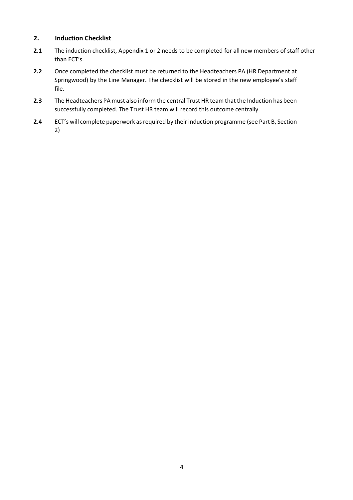### **2. Induction Checklist**

- **2.1** The induction checklist, Appendix 1 or 2 needs to be completed for all new members of staff other than ECT's.
- **2.2** Once completed the checklist must be returned to the Headteachers PA (HR Department at Springwood) by the Line Manager. The checklist will be stored in the new employee's staff file.
- **2.3** The Headteachers PA must also inform the central Trust HR team that the Induction has been successfully completed. The Trust HR team will record this outcome centrally.
- **2.4** ECT's will complete paperwork as required by their induction programme (see Part B, Section 2)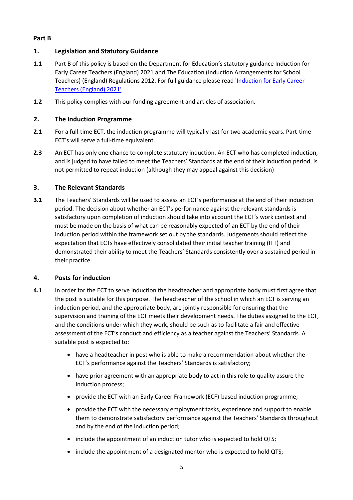## **Part B**

## **1. Legislation and Statutory Guidance**

- **1.1** Part B of this policy is based on the Department for Education's statutory guidance Induction for Early Career Teachers (England) 2021 and The Education (Induction Arrangements for School Teachers) (England) Regulations 2012. For full guidance please read ['Induction for Early Career](https://www.gov.uk/government/publications/induction-for-early-career-teachers-england)  [Teachers \(England\) 2021'](https://www.gov.uk/government/publications/induction-for-early-career-teachers-england)
- **1.2** This policy complies with our funding agreement and articles of association.

## **2. The Induction Programme**

- **2.1** For a full-time ECT, the induction programme will typically last for two academic years. Part-time ECT's will serve a full-time equivalent.
- 2.3 An ECT has only one chance to complete statutory induction. An ECT who has completed induction, and is judged to have failed to meet the Teachers' Standards at the end of their induction period, is not permitted to repeat induction (although they may appeal against this decision)

#### **3. The Relevant Standards**

**3.1** The Teachers' Standards will be used to assess an ECT's performance at the end of their induction period. The decision about whether an ECT's performance against the relevant standards is satisfactory upon completion of induction should take into account the ECT's work context and must be made on the basis of what can be reasonably expected of an ECT by the end of their induction period within the framework set out by the standards. Judgements should reflect the expectation that ECTs have effectively consolidated their initial teacher training (ITT) and demonstrated their ability to meet the Teachers' Standards consistently over a sustained period in their practice.

#### **4. Posts for induction**

- **4.1** In order for the ECT to serve induction the headteacher and appropriate body must first agree that the post is suitable for this purpose. The headteacher of the school in which an ECT is serving an induction period, and the appropriate body, are jointly responsible for ensuring that the supervision and training of the ECT meets their development needs. The duties assigned to the ECT, and the conditions under which they work, should be such as to facilitate a fair and effective assessment of the ECT's conduct and efficiency as a teacher against the Teachers' Standards. A suitable post is expected to:
	- have a headteacher in post who is able to make a recommendation about whether the ECT's performance against the Teachers' Standards is satisfactory;
	- have prior agreement with an appropriate body to act in this role to quality assure the induction process;
	- provide the ECT with an Early Career Framework (ECF)-based induction programme;
	- provide the ECT with the necessary employment tasks, experience and support to enable them to demonstrate satisfactory performance against the Teachers' Standards throughout and by the end of the induction period;
	- include the appointment of an induction tutor who is expected to hold QTS;
	- include the appointment of a designated mentor who is expected to hold QTS;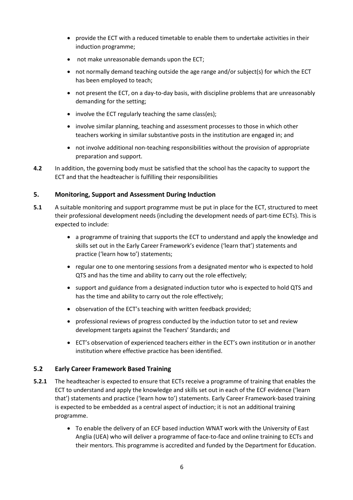- provide the ECT with a reduced timetable to enable them to undertake activities in their induction programme;
- not make unreasonable demands upon the ECT;
- not normally demand teaching outside the age range and/or subject(s) for which the ECT has been employed to teach;
- not present the ECT, on a day-to-day basis, with discipline problems that are unreasonably demanding for the setting;
- involve the ECT regularly teaching the same class(es);
- involve similar planning, teaching and assessment processes to those in which other teachers working in similar substantive posts in the institution are engaged in; and
- not involve additional non-teaching responsibilities without the provision of appropriate preparation and support.
- **4.2** In addition, the governing body must be satisfied that the school has the capacity to support the ECT and that the headteacher is fulfilling their responsibilities

#### **5. Monitoring, Support and Assessment During Induction**

- **5.1** A suitable monitoring and support programme must be put in place for the ECT, structured to meet their professional development needs (including the development needs of part-time ECTs). This is expected to include:
	- a programme of training that supports the ECT to understand and apply the knowledge and skills set out in the Early Career Framework's evidence ('learn that') statements and practice ('learn how to') statements;
	- regular one to one mentoring sessions from a designated mentor who is expected to hold QTS and has the time and ability to carry out the role effectively;
	- support and guidance from a designated induction tutor who is expected to hold QTS and has the time and ability to carry out the role effectively;
	- observation of the ECT's teaching with written feedback provided;
	- professional reviews of progress conducted by the induction tutor to set and review development targets against the Teachers' Standards; and
	- ECT's observation of experienced teachers either in the ECT's own institution or in another institution where effective practice has been identified.

#### **5.2 Early Career Framework Based Training**

- **5.2.1** The headteacher is expected to ensure that ECTs receive a programme of training that enables the ECT to understand and apply the knowledge and skills set out in each of the ECF evidence ('learn that') statements and practice ('learn how to') statements. Early Career Framework-based training is expected to be embedded as a central aspect of induction; it is not an additional training programme.
	- To enable the delivery of an ECF based induction WNAT work with the University of East Anglia (UEA) who will deliver a programme of face-to-face and online training to ECTs and their mentors. This programme is accredited and funded by the Department for Education.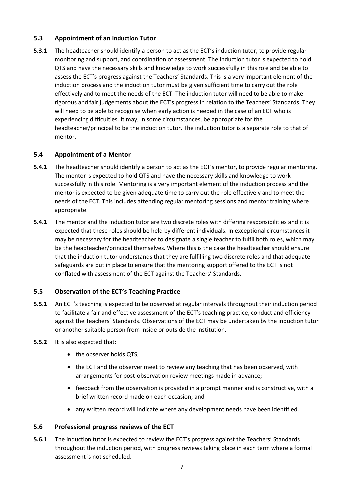#### **5.3 Appointment of an Induction Tutor**

**5.3.1** The headteacher should identify a person to act as the ECT's induction tutor, to provide regular monitoring and support, and coordination of assessment. The induction tutor is expected to hold QTS and have the necessary skills and knowledge to work successfully in this role and be able to assess the ECT's progress against the Teachers' Standards. This is a very important element of the induction process and the induction tutor must be given sufficient time to carry out the role effectively and to meet the needs of the ECT. The induction tutor will need to be able to make rigorous and fair judgements about the ECT's progress in relation to the Teachers' Standards. They will need to be able to recognise when early action is needed in the case of an ECT who is experiencing difficulties. It may, in some circumstances, be appropriate for the headteacher/principal to be the induction tutor. The induction tutor is a separate role to that of mentor.

#### **5.4 Appointment of a Mentor**

- **5.4.1** The headteacher should identify a person to act as the ECT's mentor, to provide regular mentoring. The mentor is expected to hold QTS and have the necessary skills and knowledge to work successfully in this role. Mentoring is a very important element of the induction process and the mentor is expected to be given adequate time to carry out the role effectively and to meet the needs of the ECT. This includes attending regular mentoring sessions and mentor training where appropriate.
- **5.4.1** The mentor and the induction tutor are two discrete roles with differing responsibilities and it is expected that these roles should be held by different individuals. In exceptional circumstances it may be necessary for the headteacher to designate a single teacher to fulfil both roles, which may be the headteacher/principal themselves. Where this is the case the headteacher should ensure that the induction tutor understands that they are fulfilling two discrete roles and that adequate safeguards are put in place to ensure that the mentoring support offered to the ECT is not conflated with assessment of the ECT against the Teachers' Standards.

#### **5.5 Observation of the ECT's Teaching Practice**

- **5.5.1** An ECT's teaching is expected to be observed at regular intervals throughout their induction period to facilitate a fair and effective assessment of the ECT's teaching practice, conduct and efficiency against the Teachers' Standards. Observations of the ECT may be undertaken by the induction tutor or another suitable person from inside or outside the institution.
- **5.5.2** It is also expected that:
	- the observer holds QTS:
	- the ECT and the observer meet to review any teaching that has been observed, with arrangements for post-observation review meetings made in advance;
	- feedback from the observation is provided in a prompt manner and is constructive, with a brief written record made on each occasion; and
	- any written record will indicate where any development needs have been identified.

#### **5.6 Professional progress reviews of the ECT**

**5.6.1** The induction tutor is expected to review the ECT's progress against the Teachers' Standards throughout the induction period, with progress reviews taking place in each term where a formal assessment is not scheduled.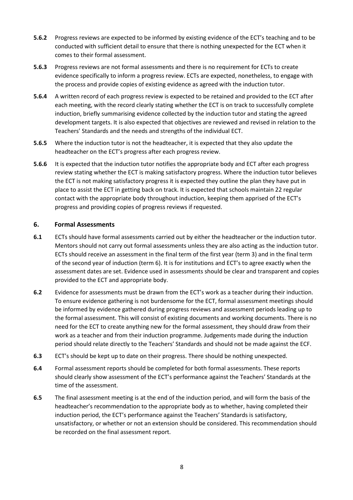- **5.6.2** Progress reviews are expected to be informed by existing evidence of the ECT's teaching and to be conducted with sufficient detail to ensure that there is nothing unexpected for the ECT when it comes to their formal assessment.
- **5.6.3** Progress reviews are not formal assessments and there is no requirement for ECTs to create evidence specifically to inform a progress review. ECTs are expected, nonetheless, to engage with the process and provide copies of existing evidence as agreed with the induction tutor.
- **5.6.4** A written record of each progress review is expected to be retained and provided to the ECT after each meeting, with the record clearly stating whether the ECT is on track to successfully complete induction, briefly summarising evidence collected by the induction tutor and stating the agreed development targets. It is also expected that objectives are reviewed and revised in relation to the Teachers' Standards and the needs and strengths of the individual ECT.
- **5.6.5** Where the induction tutor is not the headteacher, it is expected that they also update the headteacher on the ECT's progress after each progress review.
- **5.6.6** It is expected that the induction tutor notifies the appropriate body and ECT after each progress review stating whether the ECT is making satisfactory progress. Where the induction tutor believes the ECT is not making satisfactory progress it is expected they outline the plan they have put in place to assist the ECT in getting back on track. It is expected that schools maintain 22 regular contact with the appropriate body throughout induction, keeping them apprised of the ECT's progress and providing copies of progress reviews if requested.

#### **6. Formal Assessments**

- **6.1** ECTs should have formal assessments carried out by either the headteacher or the induction tutor. Mentors should not carry out formal assessments unless they are also acting as the induction tutor. ECTs should receive an assessment in the final term of the first year (term 3) and in the final term of the second year of induction (term 6). It is for institutions and ECT's to agree exactly when the assessment dates are set. Evidence used in assessments should be clear and transparent and copies provided to the ECT and appropriate body.
- **6.2** Evidence for assessments must be drawn from the ECT's work as a teacher during their induction. To ensure evidence gathering is not burdensome for the ECT, formal assessment meetings should be informed by evidence gathered during progress reviews and assessment periods leading up to the formal assessment. This will consist of existing documents and working documents. There is no need for the ECT to create anything new for the formal assessment, they should draw from their work as a teacher and from their induction programme. Judgements made during the induction period should relate directly to the Teachers' Standards and should not be made against the ECF.
- **6.3** ECT's should be kept up to date on their progress. There should be nothing unexpected.
- **6.4** Formal assessment reports should be completed for both formal assessments. These reports should clearly show assessment of the ECT's performance against the Teachers' Standards at the time of the assessment.
- **6.5** The final assessment meeting is at the end of the induction period, and will form the basis of the headteacher's recommendation to the appropriate body as to whether, having completed their induction period, the ECT's performance against the Teachers' Standards is satisfactory, unsatisfactory, or whether or not an extension should be considered. This recommendation should be recorded on the final assessment report.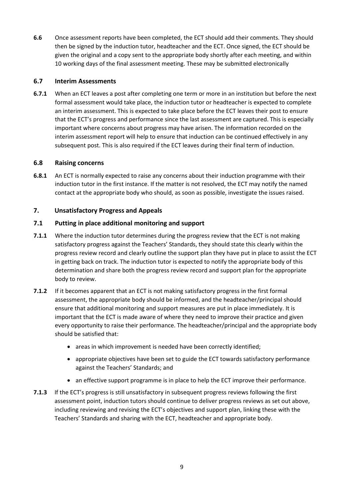**6.6** Once assessment reports have been completed, the ECT should add their comments. They should then be signed by the induction tutor, headteacher and the ECT. Once signed, the ECT should be given the original and a copy sent to the appropriate body shortly after each meeting, and within 10 working days of the final assessment meeting. These may be submitted electronically

#### **6.7 Interim Assessments**

**6.7.1** When an ECT leaves a post after completing one term or more in an institution but before the next formal assessment would take place, the induction tutor or headteacher is expected to complete an interim assessment. This is expected to take place before the ECT leaves their post to ensure that the ECT's progress and performance since the last assessment are captured. This is especially important where concerns about progress may have arisen. The information recorded on the interim assessment report will help to ensure that induction can be continued effectively in any subsequent post. This is also required if the ECT leaves during their final term of induction.

#### **6.8 Raising concerns**

**6.8.1** An ECT is normally expected to raise any concerns about their induction programme with their induction tutor in the first instance. If the matter is not resolved, the ECT may notify the named contact at the appropriate body who should, as soon as possible, investigate the issues raised.

#### **7. Unsatisfactory Progress and Appeals**

#### **7.1 Putting in place additional monitoring and support**

- **7.1.1** Where the induction tutor determines during the progress review that the ECT is not making satisfactory progress against the Teachers' Standards, they should state this clearly within the progress review record and clearly outline the support plan they have put in place to assist the ECT in getting back on track. The induction tutor is expected to notify the appropriate body of this determination and share both the progress review record and support plan for the appropriate body to review.
- **7.1.2** If it becomes apparent that an ECT is not making satisfactory progress in the first formal assessment, the appropriate body should be informed, and the headteacher/principal should ensure that additional monitoring and support measures are put in place immediately. It is important that the ECT is made aware of where they need to improve their practice and given every opportunity to raise their performance. The headteacher/principal and the appropriate body should be satisfied that:
	- areas in which improvement is needed have been correctly identified;
	- appropriate objectives have been set to guide the ECT towards satisfactory performance against the Teachers' Standards; and
	- an effective support programme is in place to help the ECT improve their performance.
- **7.1.3** If the ECT's progress is still unsatisfactory in subsequent progress reviews following the first assessment point, induction tutors should continue to deliver progress reviews as set out above, including reviewing and revising the ECT's objectives and support plan, linking these with the Teachers' Standards and sharing with the ECT, headteacher and appropriate body.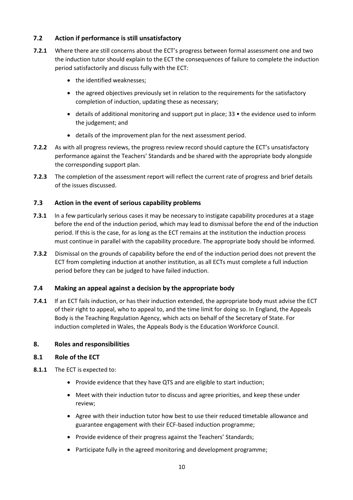## **7.2 Action if performance is still unsatisfactory**

- **7.2.1** Where there are still concerns about the ECT's progress between formal assessment one and two the induction tutor should explain to the ECT the consequences of failure to complete the induction period satisfactorily and discuss fully with the ECT:
	- the identified weaknesses;
	- the agreed objectives previously set in relation to the requirements for the satisfactory completion of induction, updating these as necessary;
	- details of additional monitoring and support put in place; 33 the evidence used to inform the judgement; and
	- details of the improvement plan for the next assessment period.
- **7.2.2** As with all progress reviews, the progress review record should capture the ECT's unsatisfactory performance against the Teachers' Standards and be shared with the appropriate body alongside the corresponding support plan.
- **7.2.3** The completion of the assessment report will reflect the current rate of progress and brief details of the issues discussed.

#### **7.3 Action in the event of serious capability problems**

- **7.3.1** In a few particularly serious cases it may be necessary to instigate capability procedures at a stage before the end of the induction period, which may lead to dismissal before the end of the induction period. If this is the case, for as long as the ECT remains at the institution the induction process must continue in parallel with the capability procedure. The appropriate body should be informed.
- **7.3.2** Dismissal on the grounds of capability before the end of the induction period does not prevent the ECT from completing induction at another institution, as all ECTs must complete a full induction period before they can be judged to have failed induction.

#### **7.4 Making an appeal against a decision by the appropriate body**

**7.4.1** If an ECT fails induction, or has their induction extended, the appropriate body must advise the ECT of their right to appeal, who to appeal to, and the time limit for doing so. In England, the Appeals Body is the Teaching Regulation Agency, which acts on behalf of the Secretary of State. For induction completed in Wales, the Appeals Body is the Education Workforce Council.

#### **8. Roles and responsibilities**

#### **8.1 Role of the ECT**

- **8.1.1** The ECT is expected to:
	- Provide evidence that they have QTS and are eligible to start induction;
	- Meet with their induction tutor to discuss and agree priorities, and keep these under review;
	- Agree with their induction tutor how best to use their reduced timetable allowance and guarantee engagement with their ECF-based induction programme;
	- Provide evidence of their progress against the Teachers' Standards;
	- Participate fully in the agreed monitoring and development programme;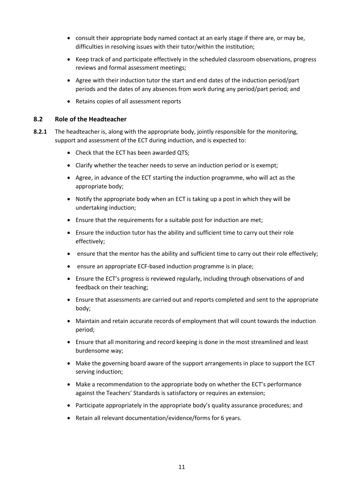- consult their appropriate body named contact at an early stage if there are, or may be, difficulties in resolving issues with their tutor/within the institution;
- Keep track of and participate effectively in the scheduled classroom observations, progress reviews and formal assessment meetings;
- Agree with their induction tutor the start and end dates of the induction period/part periods and the dates of any absences from work during any period/part period; and
- Retains copies of all assessment reports

#### **8.2 Role of the Headteacher**

- **8.2.1** The headteacher is, along with the appropriate body, jointly responsible for the monitoring, support and assessment of the ECT during induction, and is expected to:
	- Check that the ECT has been awarded QTS;
	- Clarify whether the teacher needs to serve an induction period or is exempt;
	- Agree, in advance of the ECT starting the induction programme, who will act as the appropriate body;
	- Notify the appropriate body when an ECT is taking up a post in which they will be undertaking induction;
	- Ensure that the requirements for a suitable post for induction are met;
	- Ensure the induction tutor has the ability and sufficient time to carry out their role effectively;
	- ensure that the mentor has the ability and sufficient time to carry out their role effectively;
	- ensure an appropriate ECF-based induction programme is in place;
	- Ensure the ECT's progress is reviewed regularly, including through observations of and feedback on their teaching;
	- Ensure that assessments are carried out and reports completed and sent to the appropriate body;
	- Maintain and retain accurate records of employment that will count towards the induction period;
	- Ensure that all monitoring and record keeping is done in the most streamlined and least burdensome way;
	- Make the governing board aware of the support arrangements in place to support the ECT serving induction;
	- Make a recommendation to the appropriate body on whether the ECT's performance against the Teachers' Standards is satisfactory or requires an extension;
	- Participate appropriately in the appropriate body's quality assurance procedures; and
	- Retain all relevant documentation/evidence/forms for 6 years.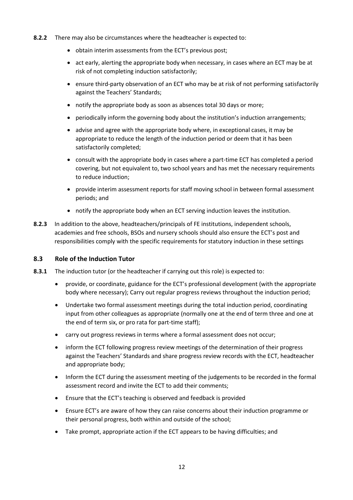- **8.2.2** There may also be circumstances where the headteacher is expected to:
	- obtain interim assessments from the ECT's previous post;
	- act early, alerting the appropriate body when necessary, in cases where an ECT may be at risk of not completing induction satisfactorily;
	- ensure third-party observation of an ECT who may be at risk of not performing satisfactorily against the Teachers' Standards;
	- notify the appropriate body as soon as absences total 30 days or more;
	- periodically inform the governing body about the institution's induction arrangements;
	- advise and agree with the appropriate body where, in exceptional cases, it may be appropriate to reduce the length of the induction period or deem that it has been satisfactorily completed;
	- consult with the appropriate body in cases where a part-time ECT has completed a period covering, but not equivalent to, two school years and has met the necessary requirements to reduce induction;
	- provide interim assessment reports for staff moving school in between formal assessment periods; and
	- notify the appropriate body when an ECT serving induction leaves the institution.
- **8.2.3** In addition to the above, headteachers/principals of FE institutions, independent schools, academies and free schools, BSOs and nursery schools should also ensure the ECT's post and responsibilities comply with the specific requirements for statutory induction in these settings

#### **8.3 Role of the Induction Tutor**

- **8.3.1** The induction tutor (or the headteacher if carrying out this role) is expected to:
	- provide, or coordinate, guidance for the ECT's professional development (with the appropriate body where necessary); Carry out regular progress reviews throughout the induction period;
	- Undertake two formal assessment meetings during the total induction period, coordinating input from other colleagues as appropriate (normally one at the end of term three and one at the end of term six, or pro rata for part-time staff);
	- carry out progress reviews in terms where a formal assessment does not occur;
	- inform the ECT following progress review meetings of the determination of their progress against the Teachers' Standards and share progress review records with the ECT, headteacher and appropriate body;
	- Inform the ECT during the assessment meeting of the judgements to be recorded in the formal assessment record and invite the ECT to add their comments;
	- Ensure that the ECT's teaching is observed and feedback is provided
	- Ensure ECT's are aware of how they can raise concerns about their induction programme or their personal progress, both within and outside of the school;
	- Take prompt, appropriate action if the ECT appears to be having difficulties; and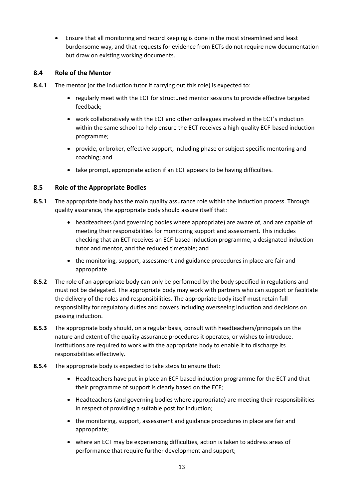• Ensure that all monitoring and record keeping is done in the most streamlined and least burdensome way, and that requests for evidence from ECTs do not require new documentation but draw on existing working documents.

#### **8.4 Role of the Mentor**

- **8.4.1** The mentor (or the induction tutor if carrying out this role) is expected to:
	- regularly meet with the ECT for structured mentor sessions to provide effective targeted feedback;
	- work collaboratively with the ECT and other colleagues involved in the ECT's induction within the same school to help ensure the ECT receives a high-quality ECF-based induction programme;
	- provide, or broker, effective support, including phase or subject specific mentoring and coaching; and
	- take prompt, appropriate action if an ECT appears to be having difficulties.

#### **8.5 Role of the Appropriate Bodies**

- **8.5.1** The appropriate body has the main quality assurance role within the induction process. Through quality assurance, the appropriate body should assure itself that:
	- headteachers (and governing bodies where appropriate) are aware of, and are capable of meeting their responsibilities for monitoring support and assessment. This includes checking that an ECT receives an ECF-based induction programme, a designated induction tutor and mentor, and the reduced timetable; and
	- the monitoring, support, assessment and guidance procedures in place are fair and appropriate.
- **8.5.2** The role of an appropriate body can only be performed by the body specified in regulations and must not be delegated. The appropriate body may work with partners who can support or facilitate the delivery of the roles and responsibilities. The appropriate body itself must retain full responsibility for regulatory duties and powers including overseeing induction and decisions on passing induction.
- **8.5.3** The appropriate body should, on a regular basis, consult with headteachers/principals on the nature and extent of the quality assurance procedures it operates, or wishes to introduce. Institutions are required to work with the appropriate body to enable it to discharge its responsibilities effectively.
- **8.5.4** The appropriate body is expected to take steps to ensure that:
	- Headteachers have put in place an ECF-based induction programme for the ECT and that their programme of support is clearly based on the ECF;
	- Headteachers (and governing bodies where appropriate) are meeting their responsibilities in respect of providing a suitable post for induction;
	- the monitoring, support, assessment and guidance procedures in place are fair and appropriate;
	- where an ECT may be experiencing difficulties, action is taken to address areas of performance that require further development and support;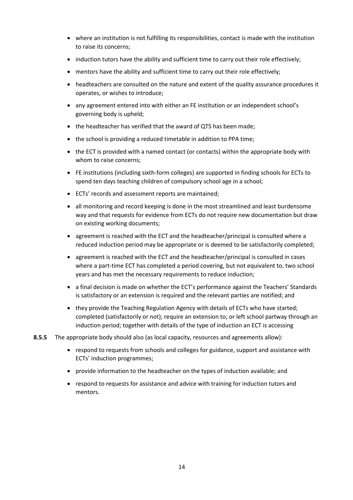- where an institution is not fulfilling its responsibilities, contact is made with the institution to raise its concerns;
- induction tutors have the ability and sufficient time to carry out their role effectively;
- mentors have the ability and sufficient time to carry out their role effectively;
- headteachers are consulted on the nature and extent of the quality assurance procedures it operates, or wishes to introduce;
- any agreement entered into with either an FE institution or an independent school's governing body is upheld;
- the headteacher has verified that the award of QTS has been made;
- the school is providing a reduced timetable in addition to PPA time;
- the ECT is provided with a named contact (or contacts) within the appropriate body with whom to raise concerns;
- FE institutions (including sixth-form colleges) are supported in finding schools for ECTs to spend ten days teaching children of compulsory school age in a school;
- ECTs' records and assessment reports are maintained;
- all monitoring and record keeping is done in the most streamlined and least burdensome way and that requests for evidence from ECTs do not require new documentation but draw on existing working documents;
- agreement is reached with the ECT and the headteacher/principal is consulted where a reduced induction period may be appropriate or is deemed to be satisfactorily completed;
- agreement is reached with the ECT and the headteacher/principal is consulted in cases where a part-time ECT has completed a period covering, but not equivalent to, two school years and has met the necessary requirements to reduce induction;
- a final decision is made on whether the ECT's performance against the Teachers' Standards is satisfactory or an extension is required and the relevant parties are notified; and
- they provide the Teaching Regulation Agency with details of ECTs who have started; completed (satisfactorily or not); require an extension to; or left school partway through an induction period; together with details of the type of induction an ECT is accessing
- **8.5.5** The appropriate body should also (as local capacity, resources and agreements allow):
	- respond to requests from schools and colleges for guidance, support and assistance with ECTs' induction programmes;
	- provide information to the headteacher on the types of induction available; and
	- respond to requests for assistance and advice with training for induction tutors and mentors.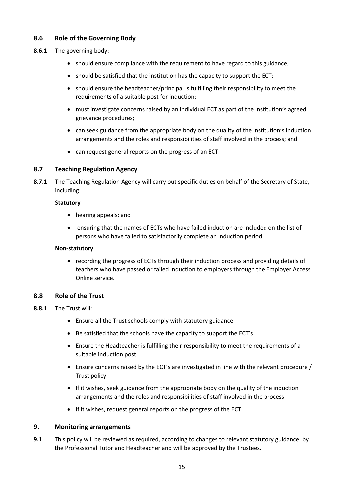#### **8.6 Role of the Governing Body**

- **8.6.1** The governing body:
	- should ensure compliance with the requirement to have regard to this guidance;
	- should be satisfied that the institution has the capacity to support the ECT;
	- should ensure the headteacher/principal is fulfilling their responsibility to meet the requirements of a suitable post for induction;
	- must investigate concerns raised by an individual ECT as part of the institution's agreed grievance procedures;
	- can seek guidance from the appropriate body on the quality of the institution's induction arrangements and the roles and responsibilities of staff involved in the process; and
	- can request general reports on the progress of an ECT.

#### **8.7 Teaching Regulation Agency**

**8.7.1** The Teaching Regulation Agency will carry out specific duties on behalf of the Secretary of State, including:

#### **Statutory**

- hearing appeals; and
- ensuring that the names of ECTs who have failed induction are included on the list of persons who have failed to satisfactorily complete an induction period.

#### **Non-statutory**

• recording the progress of ECTs through their induction process and providing details of teachers who have passed or failed induction to employers through the Employer Access Online service.

#### **8.8 Role of the Trust**

#### **8.8.1** The Trust will:

- Ensure all the Trust schools comply with statutory guidance
- Be satisfied that the schools have the capacity to support the ECT's
- Ensure the Headteacher is fulfilling their responsibility to meet the requirements of a suitable induction post
- Ensure concerns raised by the ECT's are investigated in line with the relevant procedure / Trust policy
- If it wishes, seek guidance from the appropriate body on the quality of the induction arrangements and the roles and responsibilities of staff involved in the process
- If it wishes, request general reports on the progress of the ECT

#### **9. Monitoring arrangements**

**9.1** This policy will be reviewed as required, according to changes to relevant statutory guidance, by the Professional Tutor and Headteacher and will be approved by the Trustees.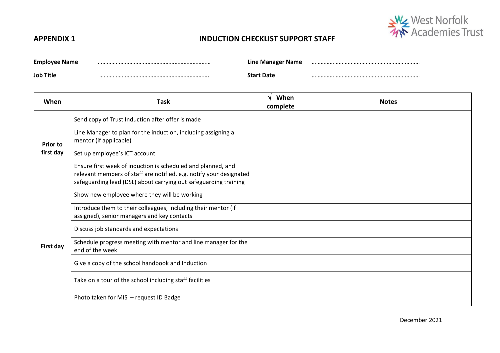

# **APPENDIX 1 INDUCTION CHECKLIST SUPPORT STAFF**

| <b>Employee Name</b> | Line Manager Name |  |
|----------------------|-------------------|--|
| Job Title            | <b>Start Date</b> |  |

| When            | <b>Task</b>                                                                                                                                                                                             | When<br>complete | <b>Notes</b> |
|-----------------|---------------------------------------------------------------------------------------------------------------------------------------------------------------------------------------------------------|------------------|--------------|
| <b>Prior to</b> | Send copy of Trust Induction after offer is made                                                                                                                                                        |                  |              |
|                 | Line Manager to plan for the induction, including assigning a<br>mentor (if applicable)                                                                                                                 |                  |              |
| first day       | Set up employee's ICT account                                                                                                                                                                           |                  |              |
|                 | Ensure first week of induction is scheduled and planned, and<br>relevant members of staff are notified, e.g. notify your designated<br>safeguarding lead (DSL) about carrying out safeguarding training |                  |              |
|                 | Show new employee where they will be working                                                                                                                                                            |                  |              |
|                 | Introduce them to their colleagues, including their mentor (if<br>assigned), senior managers and key contacts                                                                                           |                  |              |
|                 | Discuss job standards and expectations                                                                                                                                                                  |                  |              |
| First day       | Schedule progress meeting with mentor and line manager for the<br>end of the week                                                                                                                       |                  |              |
|                 | Give a copy of the school handbook and Induction                                                                                                                                                        |                  |              |
|                 | Take on a tour of the school including staff facilities                                                                                                                                                 |                  |              |
|                 | Photo taken for MIS - request ID Badge                                                                                                                                                                  |                  |              |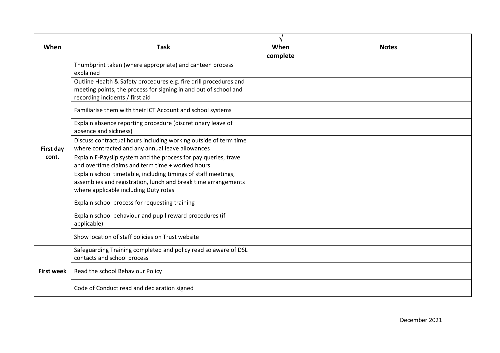| When               | <b>Task</b>                                                                                                                                                               | V<br>When<br>complete | <b>Notes</b> |
|--------------------|---------------------------------------------------------------------------------------------------------------------------------------------------------------------------|-----------------------|--------------|
|                    | Thumbprint taken (where appropriate) and canteen process<br>explained                                                                                                     |                       |              |
|                    | Outline Health & Safety procedures e.g. fire drill procedures and<br>meeting points, the process for signing in and out of school and<br>recording incidents / first aid  |                       |              |
|                    | Familiarise them with their ICT Account and school systems                                                                                                                |                       |              |
|                    | Explain absence reporting procedure (discretionary leave of<br>absence and sickness)                                                                                      |                       |              |
| First day<br>cont. | Discuss contractual hours including working outside of term time<br>where contracted and any annual leave allowances                                                      |                       |              |
|                    | Explain E-Payslip system and the process for pay queries, travel<br>and overtime claims and term time + worked hours                                                      |                       |              |
|                    | Explain school timetable, including timings of staff meetings,<br>assemblies and registration, lunch and break time arrangements<br>where applicable including Duty rotas |                       |              |
|                    | Explain school process for requesting training                                                                                                                            |                       |              |
|                    | Explain school behaviour and pupil reward procedures (if<br>applicable)                                                                                                   |                       |              |
|                    | Show location of staff policies on Trust website                                                                                                                          |                       |              |
|                    | Safeguarding Training completed and policy read so aware of DSL<br>contacts and school process                                                                            |                       |              |
| <b>First week</b>  | Read the school Behaviour Policy                                                                                                                                          |                       |              |
|                    | Code of Conduct read and declaration signed                                                                                                                               |                       |              |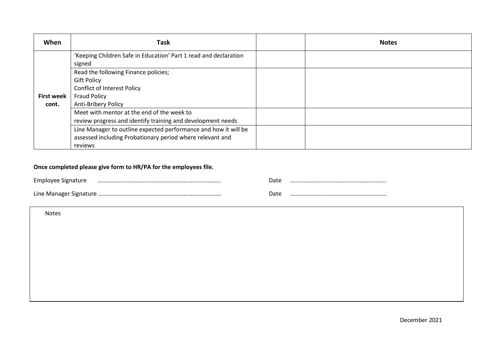| When              | Task                                                                       | <b>Notes</b> |
|-------------------|----------------------------------------------------------------------------|--------------|
|                   | 'Keeping Children Safe in Education' Part 1 read and declaration<br>signed |              |
|                   | Read the following Finance policies;                                       |              |
|                   | <b>Gift Policy</b>                                                         |              |
|                   | <b>Conflict of Interest Policy</b>                                         |              |
| <b>First week</b> | <b>Fraud Policy</b>                                                        |              |
| cont.             | Anti-Bribery Policy                                                        |              |
|                   | Meet with mentor at the end of the week to                                 |              |
|                   | review progress and identify training and development needs                |              |
|                   | Line Manager to outline expected performance and how it will be            |              |
|                   | assessed including Probationary period where relevant and                  |              |
|                   | reviews                                                                    |              |

# **Once completed please give form to HR/PA for the employees file.**

| <b>Emnlovee</b>        | -vatc |  |
|------------------------|-------|--|
| Line Manager Signature | лат   |  |

Notes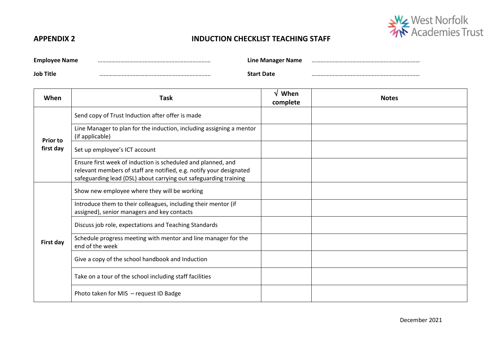

# **APPENDIX 2 INDUCTION CHECKLIST TEACHING STAFF**

| Employee<br>: Name | Line Manager Name |  |
|--------------------|-------------------|--|
| <b>Job Title</b>   | `tart Date        |  |

| When            | <b>Task</b>                                                                                                                                                                                             | When<br>ิง<br>complete | <b>Notes</b> |
|-----------------|---------------------------------------------------------------------------------------------------------------------------------------------------------------------------------------------------------|------------------------|--------------|
| <b>Prior to</b> | Send copy of Trust Induction after offer is made                                                                                                                                                        |                        |              |
|                 | Line Manager to plan for the induction, including assigning a mentor<br>(if applicable)                                                                                                                 |                        |              |
| first day       | Set up employee's ICT account                                                                                                                                                                           |                        |              |
|                 | Ensure first week of induction is scheduled and planned, and<br>relevant members of staff are notified, e.g. notify your designated<br>safeguarding lead (DSL) about carrying out safeguarding training |                        |              |
|                 | Show new employee where they will be working                                                                                                                                                            |                        |              |
|                 | Introduce them to their colleagues, including their mentor (if<br>assigned), senior managers and key contacts                                                                                           |                        |              |
|                 | Discuss job role, expectations and Teaching Standards                                                                                                                                                   |                        |              |
| First day       | Schedule progress meeting with mentor and line manager for the<br>end of the week                                                                                                                       |                        |              |
|                 | Give a copy of the school handbook and Induction                                                                                                                                                        |                        |              |
|                 | Take on a tour of the school including staff facilities                                                                                                                                                 |                        |              |
|                 | Photo taken for MIS - request ID Badge                                                                                                                                                                  |                        |              |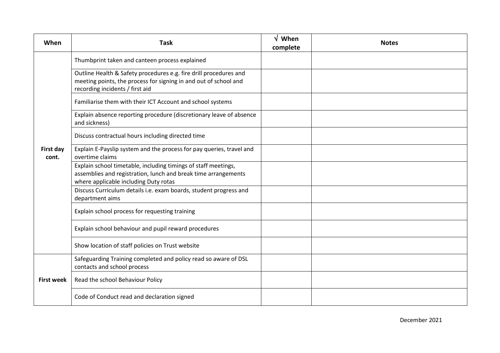| When               | <b>Task</b>                                                                                                                                                               | When<br>N<br>complete | <b>Notes</b> |
|--------------------|---------------------------------------------------------------------------------------------------------------------------------------------------------------------------|-----------------------|--------------|
|                    | Thumbprint taken and canteen process explained                                                                                                                            |                       |              |
|                    | Outline Health & Safety procedures e.g. fire drill procedures and<br>meeting points, the process for signing in and out of school and<br>recording incidents / first aid  |                       |              |
|                    | Familiarise them with their ICT Account and school systems                                                                                                                |                       |              |
|                    | Explain absence reporting procedure (discretionary leave of absence<br>and sickness)                                                                                      |                       |              |
|                    | Discuss contractual hours including directed time                                                                                                                         |                       |              |
| First day<br>cont. | Explain E-Payslip system and the process for pay queries, travel and<br>overtime claims                                                                                   |                       |              |
|                    | Explain school timetable, including timings of staff meetings,<br>assemblies and registration, lunch and break time arrangements<br>where applicable including Duty rotas |                       |              |
|                    | Discuss Curriculum details i.e. exam boards, student progress and<br>department aims                                                                                      |                       |              |
|                    | Explain school process for requesting training                                                                                                                            |                       |              |
|                    | Explain school behaviour and pupil reward procedures                                                                                                                      |                       |              |
|                    | Show location of staff policies on Trust website                                                                                                                          |                       |              |
|                    | Safeguarding Training completed and policy read so aware of DSL<br>contacts and school process                                                                            |                       |              |
| <b>First week</b>  | Read the school Behaviour Policy                                                                                                                                          |                       |              |
|                    | Code of Conduct read and declaration signed                                                                                                                               |                       |              |